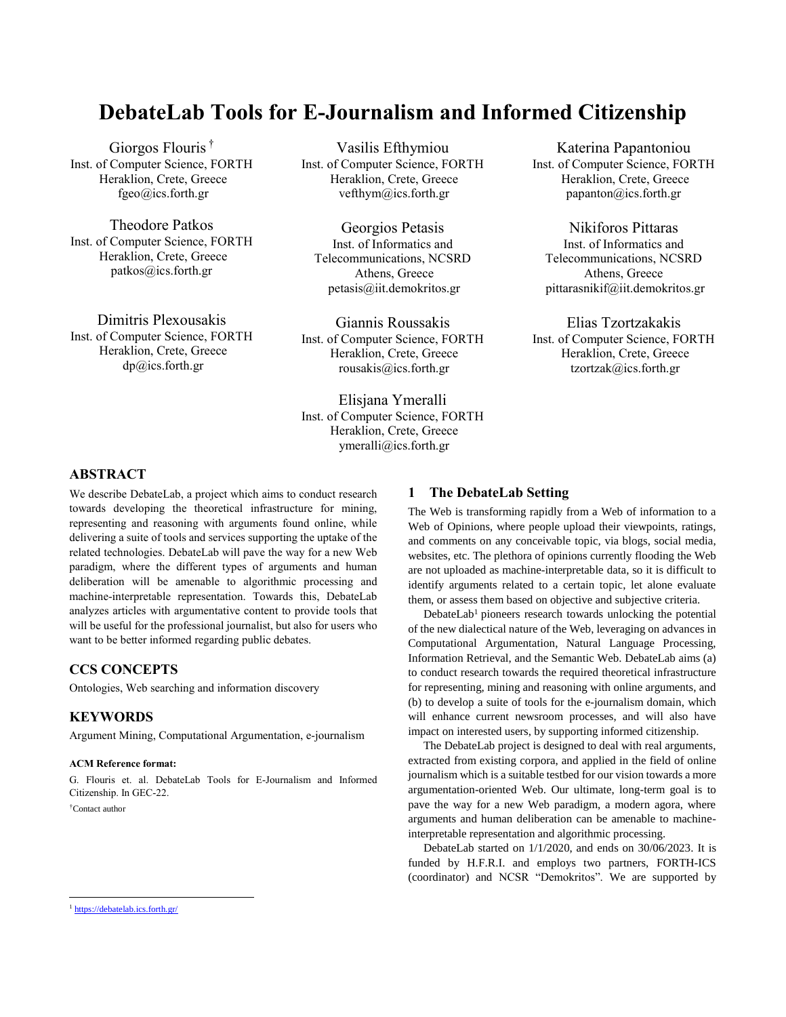# **DebateLab Tools for E-Journalism and Informed Citizenship**

Giorgos Flouris † Inst. of Computer Science, FORTH Heraklion, Crete, Greece fgeo@ics.forth.gr

Theodore Patkos Inst. of Computer Science, FORTH Heraklion, Crete, Greece patkos@ics.forth.gr

Dimitris Plexousakis Inst. of Computer Science, FORTH Heraklion, Crete, Greece dp@ics.forth.gr

Vasilis Efthymiou Inst. of Computer Science, FORTH Heraklion, Crete, Greece vefthym@ics.forth.gr

Georgios Petasis Inst. of Informatics and Telecommunications, NCSRD Athens, Greece petasis@iit.demokritos.gr

Giannis Roussakis Inst. of Computer Science, FORTH Heraklion, Crete, Greece rousakis@ics.forth.gr

Elisjana Ymeralli Inst. of Computer Science, FORTH Heraklion, Crete, Greece ymeralli@ics.forth.gr

Katerina Papantoniou Inst. of Computer Science, FORTH Heraklion, Crete, Greece papanton@ics.forth.gr

Nikiforos Pittaras Inst. of Informatics and Telecommunications, NCSRD Athens, Greece pittarasnikif@iit.demokritos.gr

Elias Tzortzakakis Inst. of Computer Science, FORTH Heraklion, Crete, Greece tzortzak@ics.forth.gr

# **ABSTRACT**

We describe DebateLab, a project which aims to conduct research towards developing the theoretical infrastructure for mining, representing and reasoning with arguments found online, while delivering a suite of tools and services supporting the uptake of the related technologies. DebateLab will pave the way for a new Web paradigm, where the different types of arguments and human deliberation will be amenable to algorithmic processing and machine-interpretable representation. Towards this, DebateLab analyzes articles with argumentative content to provide tools that will be useful for the professional journalist, but also for users who want to be better informed regarding public debates.

## **CCS CONCEPTS**

Ontologies, Web searching and information discovery

## **KEYWORDS**

Argument Mining, Computational Argumentation, e-journalism

#### **ACM Reference format:**

G. Flouris et. al. DebateLab Tools for E-Journalism and Informed Citizenship. In GEC-22.

†Contact author

 $\overline{a}$ 

#### **1 The DebateLab Setting**

The Web is transforming rapidly from a Web of information to a Web of Opinions, where people upload their viewpoints, ratings, and comments on any conceivable topic, via blogs, social media, websites, etc. The plethora of opinions currently flooding the Web are not uploaded as machine-interpretable data, so it is difficult to identify arguments related to a certain topic, let alone evaluate them, or assess them based on objective and subjective criteria.

DebateLab<sup>1</sup> pioneers research towards unlocking the potential of the new dialectical nature of the Web, leveraging on advances in Computational Argumentation, Natural Language Processing, Information Retrieval, and the Semantic Web. DebateLab aims (a) to conduct research towards the required theoretical infrastructure for representing, mining and reasoning with online arguments, and (b) to develop a suite of tools for the e-journalism domain, which will enhance current newsroom processes, and will also have impact on interested users, by supporting informed citizenship.

The DebateLab project is designed to deal with real arguments, extracted from existing corpora, and applied in the field of online journalism which is a suitable testbed for our vision towards a more argumentation-oriented Web. Our ultimate, long-term goal is to pave the way for a new Web paradigm, a modern agora, where arguments and human deliberation can be amenable to machineinterpretable representation and algorithmic processing.

DebateLab started on 1/1/2020, and ends on 30/06/2023. It is funded by H.F.R.I. and employs two partners, FORTH-ICS (coordinator) and NCSR "Demokritos". We are supported by

<sup>1</sup> <https://debatelab.ics.forth.gr/>